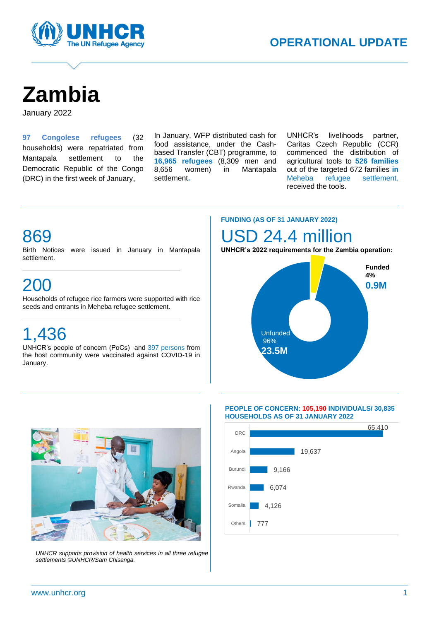

# **Zambia**

January 2022

**97 Congolese refugees** (32 households) were repatriated from Mantapala settlement to the Democratic Republic of the Congo (DRC) in the first week of January,

In January, WFP distributed cash for food assistance, under the Cashbased Transfer (CBT) programme, to **16,965 refugees** (8,309 men and 8,656 women) in Mantapala settlement**.**

A

UNHCR's livelihoods partner, Caritas Czech Republic (CCR) commenced the distribution of agricultural tools to **526 families**  out of the targeted 672 families **in**  Meheba refugee settlement. received the tools.

### 869

Birth Notices were issued in January in Mantapala settlement.

### 200

Households of refugee rice farmers were supported with rice seeds and entrants in Meheba refugee settlement.

# 1,436

UNHCR's people of concern (PoCs) and 397 persons from the host community were vaccinated against COVID-19 in January.

#### **FUNDING (AS OF 31 JANUARY 2022)**

### D 24.4 million

**UNHCR's 2022 requirements for the Zambia operation:**





*UNHCR supports provision of health services in all three refugee settlements ©UNHCR/Sam Chisanga.*

#### **PEOPLE OF CONCERN: 105,190 INDIVIDUALS/ 30,835 HOUSEHOLDS AS OF 31 JANUARY 2022**

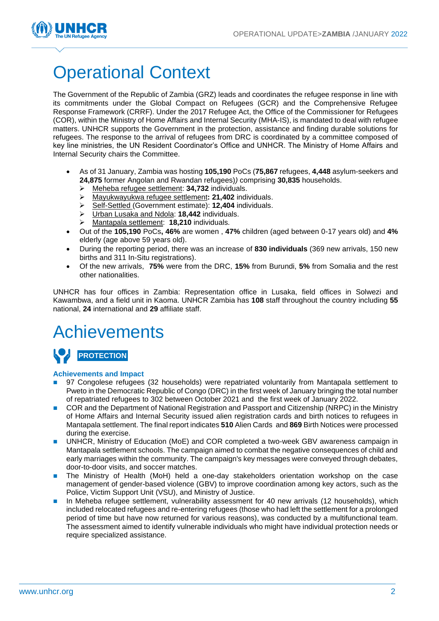

# Operational Context

The Government of the Republic of Zambia (GRZ) leads and coordinates the refugee response in line with its commitments under the Global Compact on Refugees (GCR) and the Comprehensive Refugee Response Framework (CRRF). Under the 2017 Refugee Act, the Office of the Commissioner for Refugees (COR), within the Ministry of Home Affairs and Internal Security (MHA-IS), is mandated to deal with refugee matters. UNHCR supports the Government in the protection, assistance and finding durable solutions for refugees. The response to the arrival of refugees from DRC is coordinated by a committee composed of key line ministries, the UN Resident Coordinator's Office and UNHCR. The Ministry of Home Affairs and Internal Security chairs the Committee.

- As of 31 January, Zambia was hosting **105,190** PoCs (**75,867** refugees, **4,448** asylum-seekers and **24,875** former Angolan and Rwandan refugees)*)* comprising **30,835** households.
	- ➢ Meheba refugee settlement: **34,732** individuals.
	- ➢ Mayukwayukwa refugee settlement**: 21,402** individuals.
	- ➢ Self-Settled (Government estimate): **12,404** individuals.
	- ➢ Urban Lusaka and Ndola: **18,442** individuals.
	- ➢ Mantapala settlement: **18,210** individuals*.*
- Out of the **105,190** PoCs**, 46%** are women , **47%** children (aged between 0-17 years old) and **4%**  elderly (age above 59 years old).
- During the reporting period, there was an increase of **830 individuals** (369 new arrivals, 150 new births and 311 In-Situ registrations).
- Of the new arrivals, **75%** were from the DRC, **15%** from Burundi, **5%** from Somalia and the rest other nationalities.

UNHCR has four offices in Zambia: Representation office in Lusaka, field offices in Solwezi and Kawambwa, and a field unit in Kaoma. UNHCR Zambia has **108** staff throughout the country including **55** national, **24** international and **29** affiliate staff.

### Achievements



#### **Achievements and Impact**

- 97 Congolese refugees (32 households) were repatriated voluntarily from Mantapala settlement to Pweto in the Democratic Republic of Congo (DRC) in the first week of January bringing the total number of repatriated refugees to 302 between October 2021 and the first week of January 2022.
- ◼ COR and the Department of National Registration and Passport and Citizenship (NRPC) in the Ministry of Home Affairs and Internal Security issued alien registration cards and birth notices to refugees in Mantapala settlement. The final report indicates **510** Alien Cards and **869** Birth Notices were processed during the exercise.
- UNHCR, Ministry of Education (MoE) and COR completed a two-week GBV awareness campaign in Mantapala settlement schools. The campaign aimed to combat the negative consequences of child and early marriages within the community. The campaign's key messages were conveyed through debates, door-to-door visits, and soccer matches.
- The Ministry of Health (MoH) held a one-day stakeholders orientation workshop on the case management of gender-based violence (GBV) to improve coordination among key actors, such as the Police, Victim Support Unit (VSU), and Ministry of Justice.
- In Meheba refugee settlement, vulnerability assessment for 40 new arrivals (12 households), which included relocated refugees and re-entering refugees (those who had left the settlement for a prolonged period of time but have now returned for various reasons), was conducted by a multifunctional team. The assessment aimed to identify vulnerable individuals who might have individual protection needs or require specialized assistance.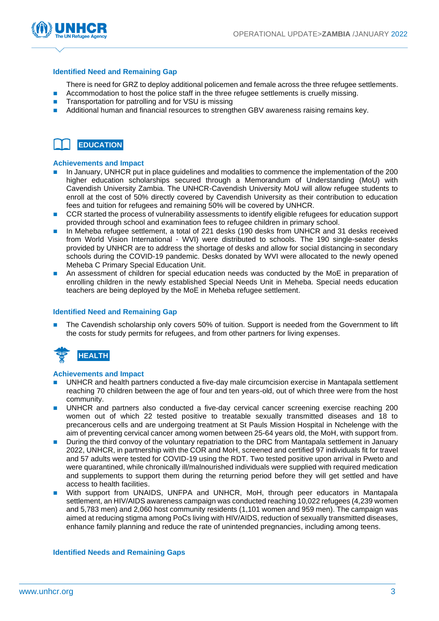

#### **Identified Need and Remaining Gap**

There is need for GRZ to deploy additional policemen and female across the three refugee settlements.

- Accommodation to host the police staff in the three refugee settlements is cruelly missing.
- Transportation for patrolling and for VSU is missing
- Additional human and financial resources to strengthen GBV awareness raising remains key.



#### **Achievements and Impact**

- ◼ In January, UNHCR put in place guidelines and modalities to commence the implementation of the 200 higher education scholarships secured through a Memorandum of Understanding (MoU) with Cavendish University Zambia. The UNHCR-Cavendish University MoU will allow refugee students to enroll at the cost of 50% directly covered by Cavendish University as their contribution to education fees and tuition for refugees and remaining 50% will be covered by UNHCR.
- CCR started the process of vulnerability assessments to identify eligible refugees for education support provided through school and examination fees to refugee children in primary school.
- In Meheba refugee settlement, a total of 221 desks (190 desks from UNHCR and 31 desks received from World Vision International - WVI) were distributed to schools. The 190 single-seater desks provided by UNHCR are to address the shortage of desks and allow for social distancing in secondary schools during the COVID-19 pandemic. Desks donated by WVI were allocated to the newly opened Meheba C Primary Special Education Unit.
- An assessment of children for special education needs was conducted by the MoE in preparation of enrolling children in the newly established Special Needs Unit in Meheba. Special needs education teachers are being deployed by the MoE in Meheba refugee settlement.

#### **Identified Need and Remaining Gap**

The Cavendish scholarship only covers 50% of tuition. Support is needed from the Government to lift the costs for study permits for refugees, and from other partners for living expenses.



#### **Achievements and Impact**

- UNHCR and health partners conducted a five-day male circumcision exercise in Mantapala settlement reaching 70 children between the age of four and ten years-old, out of which three were from the host community.
- UNHCR and partners also conducted a five-day cervical cancer screening exercise reaching 200 women out of which 22 tested positive to treatable sexually transmitted diseases and 18 to precancerous cells and are undergoing treatment at St Pauls Mission Hospital in Nchelenge with the aim of preventing cervical cancer among women between 25-64 years old, the MoH, with support from.
- During the third convoy of the voluntary repatriation to the DRC from Mantapala settlement in January 2022, UNHCR, in partnership with the COR and MoH, screened and certified 97 individuals fit for travel and 57 adults were tested for COVID-19 using the RDT. Two tested positive upon arrival in Pweto and were quarantined, while chronically ill/malnourished individuals were supplied with required medication and supplements to support them during the returning period before they will get settled and have access to health facilities.
- With support from UNAIDS, UNFPA and UNHCR, MoH, through peer educators in Mantapala settlement, an HIV/AIDS awareness campaign was conducted reaching 10,022 refugees (4,239 women and 5,783 men) and 2,060 host community residents (1,101 women and 959 men). The campaign was aimed at reducing stigma among PoCs living with HIV/AIDS, reduction of sexually transmitted diseases, enhance family planning and reduce the rate of unintended pregnancies, including among teens.

#### **Identified Needs and Remaining Gaps**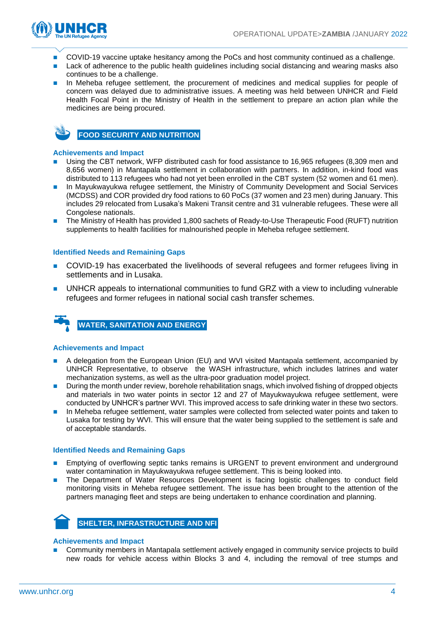

- ◼ COVID-19 vaccine uptake hesitancy among the PoCs and host community continued as a challenge.
- Lack of adherence to the public health guidelines including social distancing and wearing masks also continues to be a challenge.
- In Meheba refugee settlement, the procurement of medicines and medical supplies for people of concern was delayed due to administrative issues. A meeting was held between UNHCR and Field Health Focal Point in the Ministry of Health in the settlement to prepare an action plan while the medicines are being procured.



**FOOD SECURITY AND NUTRITION**

#### **Achievements and Impact**

- Using the CBT network, WFP distributed cash for food assistance to 16,965 refugees (8,309 men and 8,656 women) in Mantapala settlement in collaboration with partners. In addition, in-kind food was distributed to 113 refugees who had not yet been enrolled in the CBT system (52 women and 61 men).
- In Mayukwayukwa refugee settlement, the Ministry of Community Development and Social Services (MCDSS) and COR provided dry food rations to 60 PoCs (37 women and 23 men) during January. This includes 29 relocated from Lusaka's Makeni Transit centre and 31 vulnerable refugees. These were all Congolese nationals.
- The Ministry of Health has provided 1,800 sachets of Ready-to-Use Therapeutic Food (RUFT) nutrition supplements to health facilities for malnourished people in Meheba refugee settlement.

#### **Identified Needs and Remaining Gaps**

- COVID-19 has exacerbated the livelihoods of several refugees and former refugees living in settlements and in Lusaka.
- UNHCR appeals to international communities to fund GRZ with a view to including vulnerable refugees and former refugees in national social cash transfer schemes.



#### **Achievements and Impact**

- A delegation from the European Union (EU) and WVI visited Mantapala settlement, accompanied by UNHCR Representative, to observe the WASH infrastructure, which includes latrines and water mechanization systems, as well as the ultra-poor graduation model project.
- During the month under review, borehole rehabilitation snags, which involved fishing of dropped objects and materials in two water points in sector 12 and 27 of Mayukwayukwa refugee settlement, were conducted by UNHCR's partner WVI. This improved access to safe drinking water in these two sectors.
- In Meheba refugee settlement, water samples were collected from selected water points and taken to Lusaka for testing by WVI. This will ensure that the water being supplied to the settlement is safe and of acceptable standards.

#### **Identified Needs and Remaining Gaps**

- Emptying of overflowing septic tanks remains is URGENT to prevent environment and underground water contamination in Mayukwayukwa refugee settlement. This is being looked into.
- The Department of Water Resources Development is facing logistic challenges to conduct field monitoring visits in Meheba refugee settlement. The issue has been brought to the attention of the partners managing fleet and steps are being undertaken to enhance coordination and planning.



#### **Achievements and Impact**

■ Community members in Mantapala settlement actively engaged in community service projects to build new roads for vehicle access within Blocks 3 and 4, including the removal of tree stumps and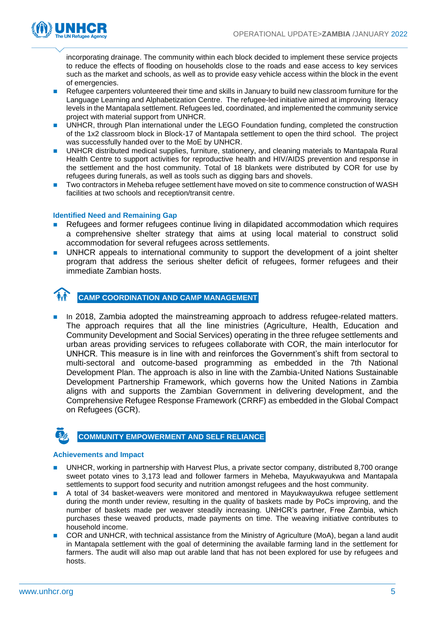

incorporating drainage. The community within each block decided to implement these service projects to reduce the effects of flooding on households close to the roads and ease access to key services such as the market and schools, as well as to provide easy vehicle access within the block in the event of emergencies.

- Refugee carpenters volunteered their time and skills in January to build new classroom furniture for the Language Learning and Alphabetization Centre. The refugee-led initiative aimed at improving literacy levels in the Mantapala settlement. Refugees led, coordinated, and implemented the community service project with material support from UNHCR.
- UNHCR, through Plan international under the LEGO Foundation funding, completed the construction of the 1x2 classroom block in Block-17 of Mantapala settlement to open the third school. The project was successfully handed over to the MoE by UNHCR.
- UNHCR distributed medical supplies, furniture, stationery, and cleaning materials to Mantapala Rural Health Centre to support activities for reproductive health and HIV/AIDS prevention and response in the settlement and the host community. Total of 18 blankets were distributed by COR for use by refugees during funerals, as well as tools such as digging bars and shovels.
- Two contractors in Meheba refugee settlement have moved on site to commence construction of WASH facilities at two schools and reception/transit centre.

#### **Identified Need and Remaining Gap**

- Refugees and former refugees continue living in dilapidated accommodation which requires a comprehensive shelter strategy that aims at using local material to construct solid accommodation for several refugees across settlements.
- UNHCR appeals to international community to support the development of a joint shelter program that address the serious shelter deficit of refugees, former refugees and their immediate Zambian hosts.



**CAMP COORDINATION AND CAMP MANAGEMENT**

■ In 2018, Zambia adopted the mainstreaming approach to address refugee-related matters. The approach requires that all the line ministries (Agriculture, Health, Education and Community Development and Social Services) operating in the three refugee settlements and urban areas providing services to refugees collaborate with COR, the main interlocutor for UNHCR. This measure is in line with and reinforces the Government's shift from sectoral to multi-sectoral and outcome-based programming as embedded in the 7th National Development Plan. The approach is also in line with the Zambia-United Nations Sustainable Development Partnership Framework, which governs how the United Nations in Zambia aligns with and supports the Zambian Government in delivering development, and the Comprehensive Refugee Response Framework (CRRF) as embedded in the Global Compact on Refugees (GCR).



#### **Achievements and Impact**

- UNHCR, working in partnership with Harvest Plus, a private sector company, distributed 8,700 orange sweet potato vines to 3,173 lead and follower farmers in Meheba, Mayukwayukwa and Mantapala settlements to support food security and nutrition amongst refugees and the host community.
- A total of 34 basket-weavers were monitored and mentored in Mayukwayukwa refugee settlement during the month under review, resulting in the quality of baskets made by PoCs improving, and the number of baskets made per weaver steadily increasing. UNHCR's partner, Free Zambia, which purchases these weaved products, made payments on time. The weaving initiative contributes to household income.
- COR and UNHCR, with technical assistance from the Ministry of Agriculture (MoA), began a land audit in Mantapala settlement with the goal of determining the available farming land in the settlement for farmers. The audit will also map out arable land that has not been explored for use by refugees and hosts.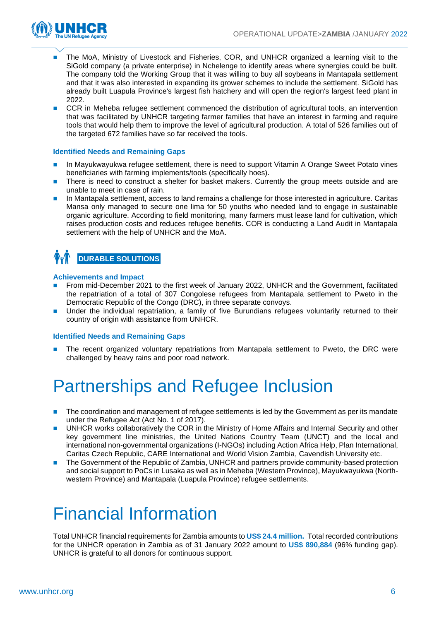

- The MoA, Ministry of Livestock and Fisheries, COR, and UNHCR organized a learning visit to the SiGold company (a private enterprise) in Nchelenge to identify areas where synergies could be built. The company told the Working Group that it was willing to buy all soybeans in Mantapala settlement and that it was also interested in expanding its grower schemes to include the settlement. SiGold has already built Luapula Province's largest fish hatchery and will open the region's largest feed plant in 2022.
- CCR in Meheba refugee settlement commenced the distribution of agricultural tools, an intervention that was facilitated by UNHCR targeting farmer families that have an interest in farming and require tools that would help them to improve the level of agricultural production. A total of 526 families out of the targeted 672 families have so far received the tools.

#### **Identified Needs and Remaining Gaps**

- In Mayukwayukwa refugee settlement, there is need to support Vitamin A Orange Sweet Potato vines beneficiaries with farming implements/tools (specifically hoes).
- There is need to construct a shelter for basket makers. Currently the group meets outside and are unable to meet in case of rain.
- ◼ In Mantapala settlement, access to land remains a challenge for those interested in agriculture. Caritas Mansa only managed to secure one lima for 50 youths who needed land to engage in sustainable organic agriculture. According to field monitoring, many farmers must lease land for cultivation, which raises production costs and reduces refugee benefits. COR is conducting a Land Audit in Mantapala settlement with the help of UNHCR and the MoA.

### **DURABLE SOLUTIONS**

#### **Achievements and Impact**

- ◼ From mid-December 2021 to the first week of January 2022, UNHCR and the Government, facilitated the repatriation of a total of 307 Congolese refugees from Mantapala settlement to Pweto in the Democratic Republic of the Congo (DRC), in three separate convoys.
- Under the individual repatriation, a family of five Burundians refugees voluntarily returned to their country of origin with assistance from UNHCR.

#### **Identified Needs and Remaining Gaps**

■ The recent organized voluntary repatriations from Mantapala settlement to Pweto, the DRC were challenged by heavy rains and poor road network.

# Partnerships and Refugee Inclusion

- The coordination and management of refugee settlements is led by the Government as per its mandate under the Refugee Act (Act No. 1 of 2017).
- UNHCR works collaboratively the COR in the Ministry of Home Affairs and Internal Security and other key government line ministries, the United Nations Country Team (UNCT) and the local and international non-governmental organizations (I-NGOs) including Action Africa Help, Plan International, Caritas Czech Republic, CARE International and World Vision Zambia, Cavendish University etc.
- The Government of the Republic of Zambia, UNHCR and partners provide community-based protection and social support to PoCs in Lusaka as well as in Meheba (Western Province), Mayukwayukwa (Northwestern Province) and Mantapala (Luapula Province) refugee settlements.

# Financial Information

Total UNHCR financial requirements for Zambia amounts to **US\$ 24.4 million.** Total recorded contributions for the UNHCR operation in Zambia as of 31 January 2022 amount to **US\$ 890,884** (96% funding gap). UNHCR is grateful to all donors for continuous support.